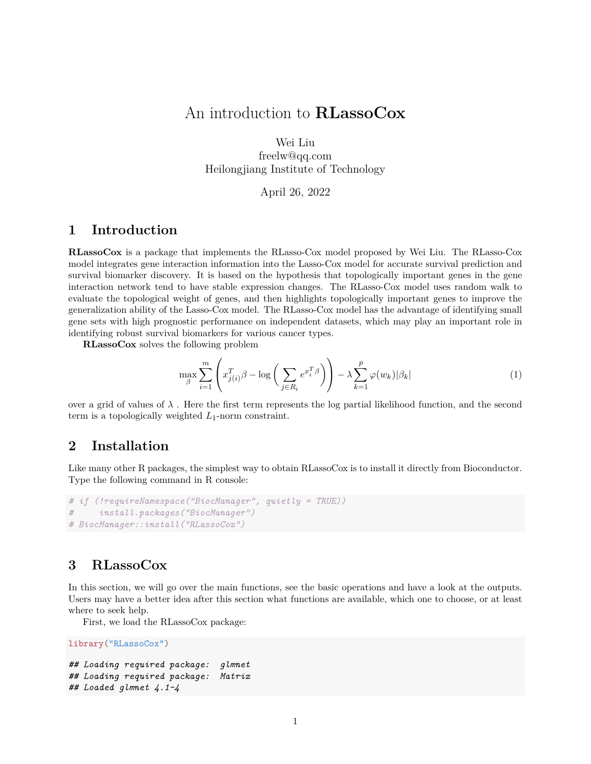# An introduction to **RLassoCox**

Wei Liu freelw@qq.com Heilongjiang Institute of Technology

#### April 26, 2022

### **1 Introduction**

**RLassoCox** is a package that implements the RLasso-Cox model proposed by Wei Liu. The RLasso-Cox model integrates gene interaction information into the Lasso-Cox model for accurate survival prediction and survival biomarker discovery. It is based on the hypothesis that topologically important genes in the gene interaction network tend to have stable expression changes. The RLasso-Cox model uses random walk to evaluate the topological weight of genes, and then highlights topologically important genes to improve the generalization ability of the Lasso-Cox model. The RLasso-Cox model has the advantage of identifying small gene sets with high prognostic performance on independent datasets, which may play an important role in identifying robust survival biomarkers for various cancer types.

**RLassoCox** solves the following problem

$$
\max_{\beta} \sum_{i=1}^{m} \left( x_{j(i)}^T \beta - \log \left( \sum_{j \in R_i} e^{x_i^T \beta} \right) \right) - \lambda \sum_{k=1}^{p} \varphi(w_k) |\beta_k| \tag{1}
$$

over a grid of values of  $\lambda$ . Here the first term represents the log partial likelihood function, and the second term is a topologically weighted *L*1-norm constraint.

#### **2 Installation**

Like many other R packages, the simplest way to obtain RLassoCox is to install it directly from Bioconductor. Type the following command in R console:

```
# if (!requireNamespace("BiocManager", quietly = TRUE))
# install.packages("BiocManager")
# BiocManager::install("RLassoCox")
```
### **3 RLassoCox**

In this section, we will go over the main functions, see the basic operations and have a look at the outputs. Users may have a better idea after this section what functions are available, which one to choose, or at least where to seek help.

First, we load the RLassoCox package:

```
library("RLassoCox")
```

```
## Loading required package: glmnet
## Loading required package: Matrix
## Loaded glmnet 4.1-4
```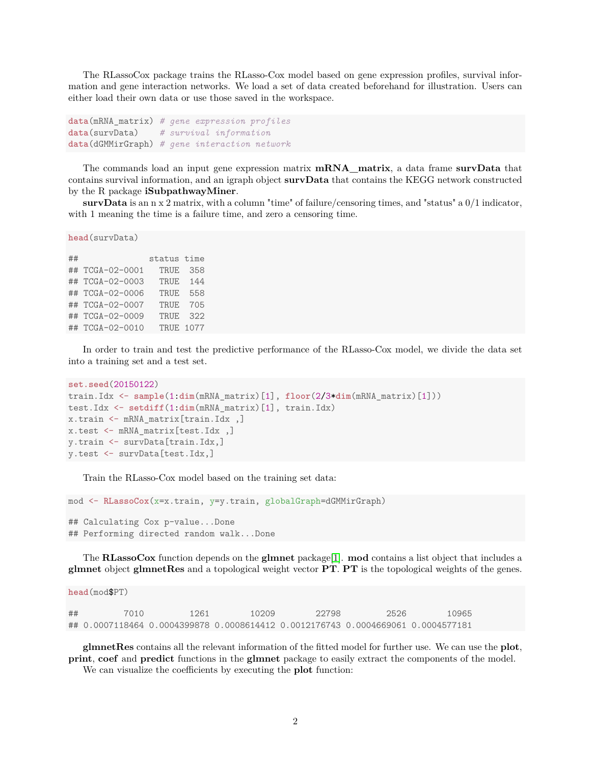The RLassoCox package trains the RLasso-Cox model based on gene expression profiles, survival information and gene interaction networks. We load a set of data created beforehand for illustration. Users can either load their own data or use those saved in the workspace.

```
data(mRNA_matrix) # gene expression profiles
data(survData) # survival information
data(dGMMirGraph) # gene interaction network
```
The commands load an input gene expression matrix **mRNA\_matrix**, a data frame **survData** that contains survival information, and an igraph object **survData** that contains the KEGG network constructed by the R package **iSubpathwayMiner**.

**survData** is an n x 2 matrix, with a column "time" of failure/censoring times, and "status" a 0/1 indicator, with 1 meaning the time is a failure time, and zero a censoring time.

```
head(survData)
```
## status time ## TCGA-02-0001 TRUE 358 ## TCGA-02-0003 TRUE 144 ## TCGA-02-0006 TRUE 558 ## TCGA-02-0007 TRUE 705 ## TCGA-02-0009 TRUE 322 ## TCGA-02-0010 TRUE 1077

In order to train and test the predictive performance of the RLasso-Cox model, we divide the data set into a training set and a test set.

```
set.seed(20150122)
train.Idx <- sample(1:dim(mRNA_matrix)[1], floor(2/3*dim(mRNA_matrix)[1]))
test.Idx <- setdiff(1:dim(mRNA_matrix)[1], train.Idx)
x.train <- mRNA_matrix[train.Idx ,]
x.test <- mRNA_matrix[test.Idx ,]
y.train <- survData[train.Idx,]
y.test <- survData[test.Idx,]
```
Train the RLasso-Cox model based on the training set data:

mod <- **RLassoCox**(x=x.train, y=y.train, globalGraph=dGMMirGraph)

## Calculating Cox p-value...Done ## Performing directed random walk...Done

The **RLassoCox** function depends on the **glmnet** package[\[1\]](#page-17-0). **mod** contains a list object that includes a **glmnet** object **glmnetRes** and a topological weight vector **PT**. **PT** is the topological weights of the genes.

**head**(mod\$PT)

| ## | 7010                                                                             | 1261 | 10209 | 22798 | 2526 | 10965 |
|----|----------------------------------------------------------------------------------|------|-------|-------|------|-------|
|    | ## 0.0007118464 0.0004399878 0.0008614412 0.0012176743 0.0004669061 0.0004577181 |      |       |       |      |       |

**glmnetRes** contains all the relevant information of the fitted model for further use. We can use the **plot**, **print**, **coef** and **predict** functions in the **glmnet** package to easily extract the components of the model.

We can visualize the coefficients by executing the **plot** function: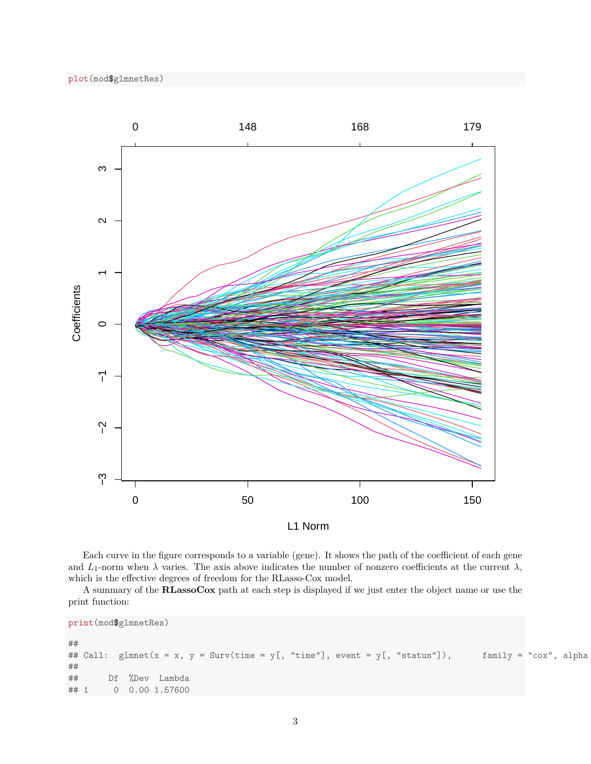



Each curve in the figure corresponds to a variable (gene). It shows the path of the coefficient of each gene and  $L_1$ -norm when  $\lambda$  varies. The axis above indicates the number of nonzero coefficients at the current  $\lambda$ , which is the effective degrees of freedom for the RLasso-Cox model.

A summary of the **RLassoCox** path at each step is displayed if we just enter the object name or use the print function:

**print**(mod\$glmnetRes) ## ## Call: glmnet(x = x, y = Surv(time = y[, "time"], event = y[, "status"]), family = "cox", alpha ## ## Df %Dev Lambda ## 1 0 0.00 1.57600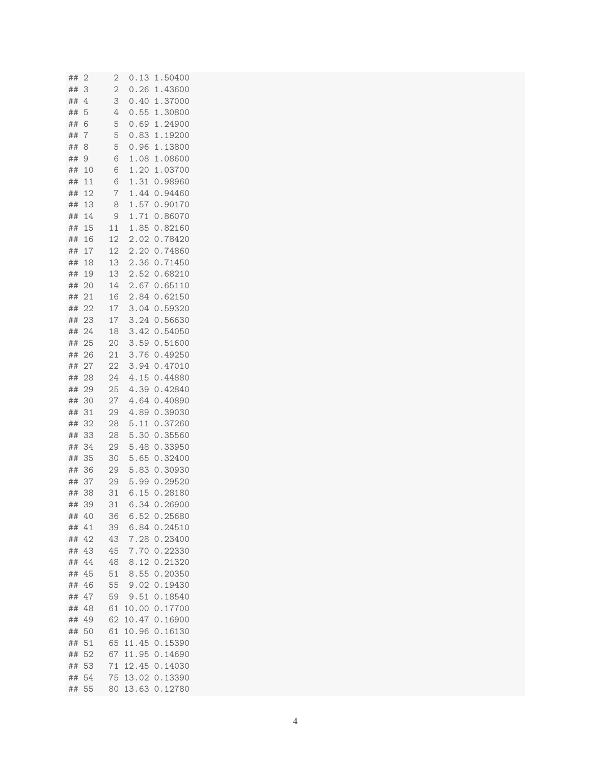| ## | $\overline{c}$ | $\overline{c}$ | 0.13  | 1.50400 |
|----|----------------|----------------|-------|---------|
| ## | 3              | $\overline{c}$ | 0.26  | 1.43600 |
| ## | 4              | 3              | 0.40  | 1.37000 |
| ## | 5              | 4              | 0.55  | 1.30800 |
| ## | 6              | 5              | 0.69  | 1.24900 |
| ## | 7              | 5              | 0.83  | 1.19200 |
| ## | 8              | 5              | 0.96  | 1.13800 |
| ## | 9              | 6              | 1.08  | 1.08600 |
| ## | 10             | 6              | 1.20  | 1.03700 |
| ## | 11             | 6              | 1.31  | 0.98960 |
| ## | 12             | 7              | 1.44  | 0.94460 |
| ## | 13             | 8              | 1.57  | 0.90170 |
| ## | 14             | 9              | 1.71  | 0.86070 |
| ## | 15             | 11             | 1.85  | 0.82160 |
| ## | 16             | 12             | 2.02  | 0.78420 |
| ## | 17             | 12             | 2.20  | 0.74860 |
| ## | 18             | 13             | 2.36  | 0.71450 |
| ## | 19             | 13             | 2.52  | 0.68210 |
| ## | 20             | 14             | 2.67  | 0.65110 |
| ## | 21             | 16             | 2.84  | 0.62150 |
| ## | 22             | 17             | 3.04  | 0.59320 |
| ## | 23             | 17             | 3.24  | 0.56630 |
| ## | 24             | 18             | 3.42  | 0.54050 |
| ## | 25             | 20             | 3.59  | 0.51600 |
|    | 26             |                | 3.76  |         |
| ## |                | 21<br>22       |       | 0.49250 |
| ## | 27             |                | 3.94  | 0.47010 |
| ## | 28             | 24             | 4.15  | 0.44880 |
| ## | 29             | 25             | 4.39  | 0.42840 |
| ## | 30             | 27             | 4.64  | 0.40890 |
| ## | 31             | 29             | 4.89  | 0.39030 |
| ## | 32             | 28             | 5.11  | 0.37260 |
| ## | 33             | 28             | 5.30  | 0.35560 |
| ## | 34             | 29             | 5.48  | 0.33950 |
| ## | 35             | 30             | 5.65  | 0.32400 |
| ## | 36             | 29             | 5.83  | 0.30930 |
| ## | 37             | 29             | 5.99  | 0.29520 |
| ## | 38             | 31             | 6.15  | 0.28180 |
| ## | 39             | 31             | 6.34  | 0.26900 |
| ## | 40             | 36             | 6.52  | 0.25680 |
| ## | 41             | 39             | 6.84  | 0.24510 |
| ## | 42             | 43             | 7.28  | 0.23400 |
| ## | 43             | 45             | 7.70  | 0.22330 |
| ## | 44             | 48             | 8.12  | 0.21320 |
| ## | 45             | 51             | 8.55  | 0.20350 |
| ## | 46             | 55             | 9.02  | 0.19430 |
| ## | 47             | 59             | 9.51  | 0.18540 |
| ## | 48             | 61             | 10.00 | 0.17700 |
| ## | 49             | 62             | 10.47 | 0.16900 |
| ## | 50             | 61             | 10.96 | 0.16130 |
| ## | 51             | 65             | 11.45 | 0.15390 |
| ## | 52             | 67             | 11.95 | 0.14690 |
| ## | 53             | 71             | 12.45 | 0.14030 |
| ## | 54             | 75             | 13.02 | 0.13390 |
| ## | 55             | 80             | 13.63 | 0.12780 |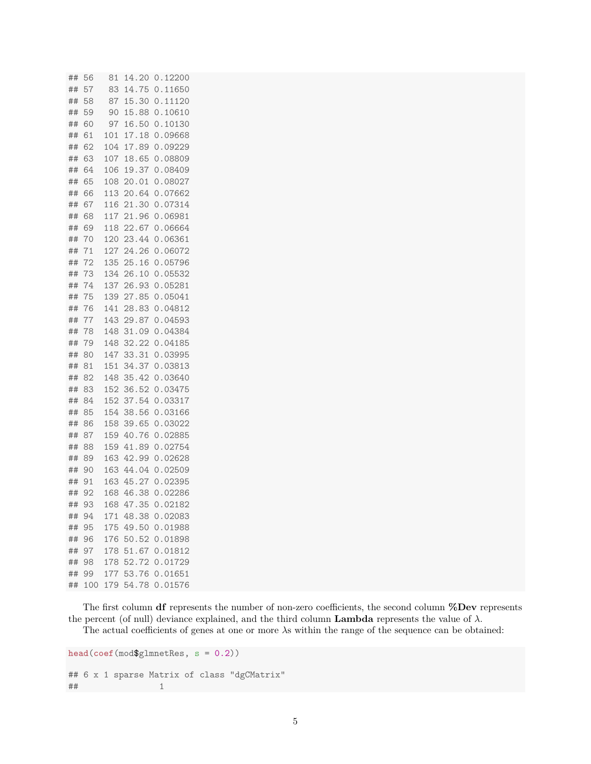| ##       | 56       | 81         | 14.20          | 0.12200            |
|----------|----------|------------|----------------|--------------------|
| ##       | 57       | 83         | 14.75          | 0.11650            |
| ##       | 58       | 87         | 15.30          | 0.11120            |
| ##       | 59       | 90         | 15.88          | 0.10610            |
| ##       | 60       | 97         | 16.50          | 0.10130            |
| ##       | 61       | 101        | 17.18          | 0.09668            |
| ##       | 62       | 104        | 17.89          | 0.09229            |
| ##       | 63       | 107        | 18.65          | 0.08809            |
| ##       | 64       | 106        | 19.37          | 0.08409            |
| ##       | 65       | 108        | 20.01          | 0.08027            |
| ##       | 66       | 113        | 20.64          | 0.07662            |
| ##       | 67       | 116        | 21.30          | 0.07314            |
| ##       | 68       | 117        | 21.96          | 0.06981            |
| ##       | 69       | 118        | 22.67          | 0.06664            |
| ##       | 70       | 120        | 23.44          | 0.06361            |
| ##       | 71       | 127        | 24.26          | 0.06072            |
| ##       | 72       | 135        | 25.16          | 0.05796            |
| ##       | 73       | 134        | 26.10          | 0.05532            |
| ##       | 74       | 137        | 26.93          | 0.05281            |
| ##       | 75       | 139        | 27.85          | 0.05041            |
| ##       | 76       | 141        | 28.83          | 0.04812            |
| ##       | 77       | 143        | 29.87          | 0.04593            |
| ##       | 78       | 148        | 31.09          | 0.04384            |
| ##       | 79       | 148        | 32.22          | 0.04185            |
| ##       | 80       | 147        | 33.31          | 0.03995            |
| ##       | 81       | 151        | 34.37          | 0.03813            |
| ##       | 82       | 148        | 35.42          | 0.03640            |
| ##       | 83       | 152        | 36.52          | 0.03475            |
| ##       | 84       | 152        | 37.54          | 0.03317            |
| ##       | 85       | 154        | 38.56          | 0.03166            |
| ##       | 86       | 158        | 39.65          | 0.03022            |
| ##       | 87       | 159        | 40.76          | 0.02885            |
| ##       | 88<br>89 | 159        | 41.89<br>42.99 | 0.02754            |
| ##       | 90       | 163<br>163 | 44.04          | 0.02628<br>0.02509 |
| ##<br>## | 91       | 163        | 45.27          | 0.02395            |
| ##       | 92       | 168        | 46.38          | 0.02286            |
| ##       | 93       | 168        | 47.35          | 0.02182            |
| ##       | 94       | 171        | 48.38          | 0.02083            |
| ##       | 95       | 175        | 49.50          | 0.01988            |
| ##       | 96       | 176        | 50.52          | 0.01898            |
| ##       | 97       | 178        | 51.67          | 0.01812            |
| ##       | 98       | 178        | 52.72          | 0.01729            |
| ##       | 99       | 177        | 53.76          | 0.01651            |
| ##       | 100      | 179        | 54.78          | 0.01576            |
|          |          |            |                |                    |

The first column **df** represents the number of non-zero coefficients, the second column **%Dev** represents the percent (of null) deviance explained, and the third column **Lambda** represents the value of  $\lambda$ .

The actual coefficients of genes at one or more *λ*s within the range of the sequence can be obtained:

```
head(coef(mod$glmnetRes, s = 0.2))
## 6 x 1 sparse Matrix of class "dgCMatrix"
## 1
```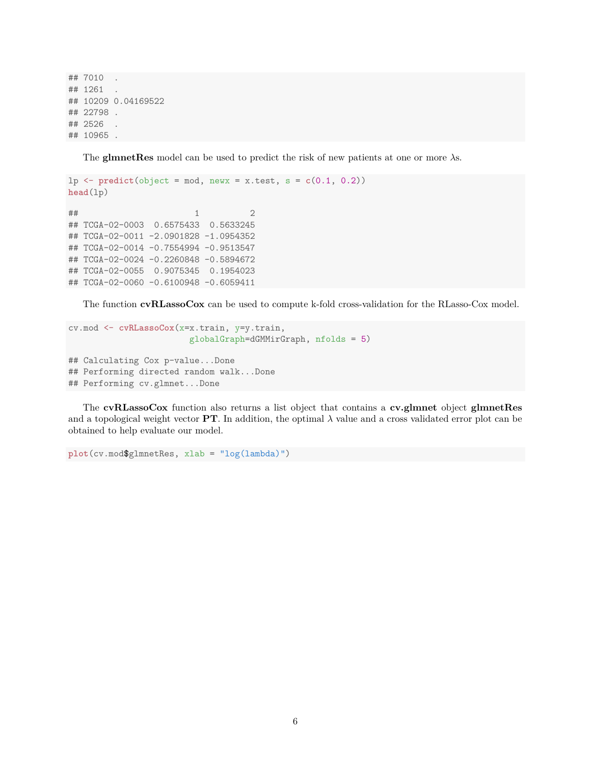## 7010 . ## 1261 . ## 10209 0.04169522 ## 22798 . ## 2526 . ## 10965 .

The **glmnetRes** model can be used to predict the risk of new patients at one or more *λ*s.

```
lp \leftarrow predict(object = mod, newx = x.test, s = c(0.1, 0.2))head(lp)
\# \# \frac{1}{2}## TCGA-02-0003 0.6575433 0.5633245
## TCGA-02-0011 -2.0901828 -1.0954352
## TCGA-02-0014 -0.7554994 -0.9513547
## TCGA-02-0024 -0.2260848 -0.5894672
## TCGA-02-0055 0.9075345 0.1954023
## TCGA-02-0060 -0.6100948 -0.6059411
```
The function **cvRLassoCox** can be used to compute k-fold cross-validation for the RLasso-Cox model.

```
cv.mod <- cvRLassoCox(x=x.train, y=y.train,
                        globalGraph=dGMMirGraph, nfolds = 5)
## Calculating Cox p-value...Done
## Performing directed random walk...Done
## Performing cv.glmnet...Done
```
The **cvRLassoCox** function also returns a list object that contains a **cv.glmnet** object **glmnetRes** and a topological weight vector **PT**. In addition, the optimal  $\lambda$  value and a cross validated error plot can be obtained to help evaluate our model.

```
plot(cv.mod$glmnetRes, xlab = "log(lambda)")
```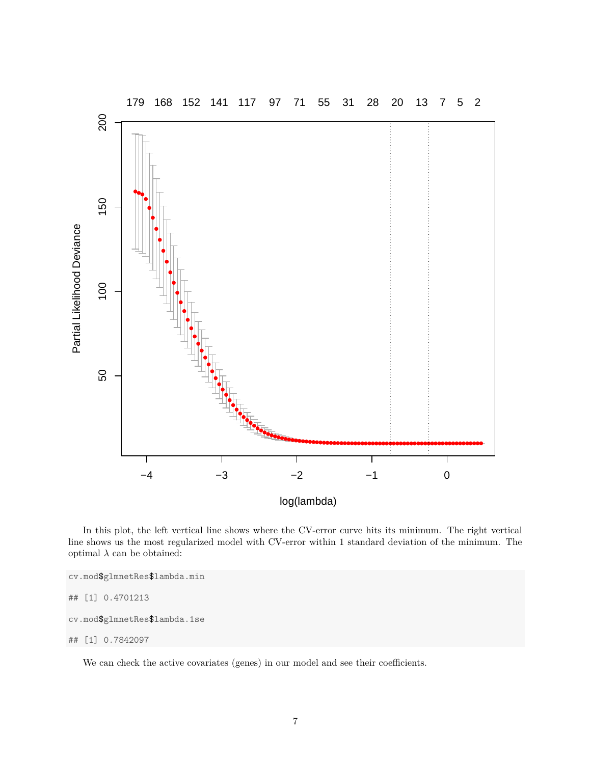

In this plot, the left vertical line shows where the CV-error curve hits its minimum. The right vertical line shows us the most regularized model with CV-error within 1 standard deviation of the minimum. The optimal  $\lambda$  can be obtained:

```
cv.mod$glmnetRes$lambda.min
## [1] 0.4701213
cv.mod$glmnetRes$lambda.1se
## [1] 0.7842097
```
We can check the active covariates (genes) in our model and see their coefficients.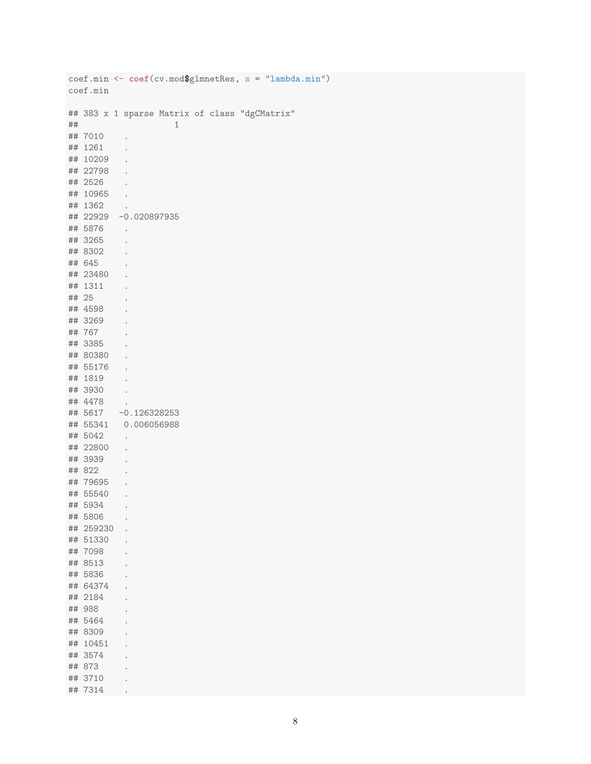|       |           | $\text{coeff.}$ min <- $\text{coeff.}$ $\text{curl}(\text{cv.mod}\$g]$ mnetRes, s = "lambda.min") |
|-------|-----------|---------------------------------------------------------------------------------------------------|
|       | coef.min  |                                                                                                   |
|       |           |                                                                                                   |
|       |           | ## 383 x 1 sparse Matrix of class "dgCMatrix"                                                     |
| ##    |           | 1                                                                                                 |
|       | ## 7010   |                                                                                                   |
|       | ## 1261   |                                                                                                   |
|       | ## 10209  |                                                                                                   |
|       | ## 22798  |                                                                                                   |
|       | ## 2526   |                                                                                                   |
|       | ## 10965  |                                                                                                   |
|       | ## 1362   |                                                                                                   |
|       |           | ## 22929 -0.020897935                                                                             |
|       | ## 5876   |                                                                                                   |
|       | ## 3265   |                                                                                                   |
|       | ## 8302   |                                                                                                   |
|       | ## 645    |                                                                                                   |
|       | ## 23480  |                                                                                                   |
|       | ## 1311   |                                                                                                   |
| ## 25 |           |                                                                                                   |
|       | ## 4598   |                                                                                                   |
|       | ## 3269   |                                                                                                   |
|       | ## 767    |                                                                                                   |
|       | ## 3385   |                                                                                                   |
|       | ## 80380  |                                                                                                   |
|       | ## 55176  |                                                                                                   |
|       |           |                                                                                                   |
|       | ## 1819   |                                                                                                   |
|       | ## 3930   |                                                                                                   |
|       | ## 4478   |                                                                                                   |
|       | ## 5617   | $-0.126328253$                                                                                    |
|       |           | ## 55341 0.006056988                                                                              |
|       | ## 5042   |                                                                                                   |
|       | ## 22800  |                                                                                                   |
|       | ## 3939   |                                                                                                   |
|       | ## 822    |                                                                                                   |
|       | ## 79695  |                                                                                                   |
|       | ## 55540  | $\bullet$                                                                                         |
| ##    | 5934      | $\sim$                                                                                            |
|       | ## 5806   |                                                                                                   |
|       | ## 259230 | $\ddot{\phantom{0}}$                                                                              |
|       | ## 51330  | $\ddot{\phantom{0}}$                                                                              |
|       | ## 7098   | $\ddot{\phantom{0}}$                                                                              |
|       | ## 8513   |                                                                                                   |
|       | ## 5836   |                                                                                                   |
|       | ## 64374  |                                                                                                   |
|       | ## 2184   |                                                                                                   |
|       | ## 988    |                                                                                                   |
|       | ## 5464   |                                                                                                   |
|       | ## 8309   |                                                                                                   |
|       | ## 10451  |                                                                                                   |
|       | ## 3574   |                                                                                                   |
|       | ## 873    |                                                                                                   |
|       | ## 3710   |                                                                                                   |
| ##    | 7314      |                                                                                                   |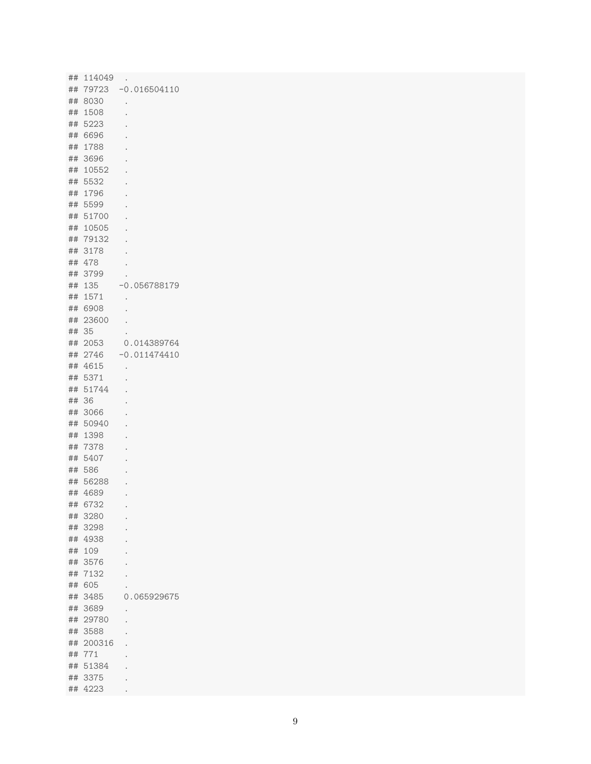|          | ## 114049    |                |
|----------|--------------|----------------|
| ##       | 79723        | $-0.016504110$ |
|          | ## 8030      |                |
|          | ## 1508      |                |
| ##       | 5223         |                |
| ##       | 6696         |                |
| ##       | 1788         |                |
| ##       | 3696         |                |
| ##       | 10552        |                |
| ##       | 5532         |                |
| ##       | 1796         |                |
| ##       | 5599         |                |
| ##       | 51700        |                |
| ##       | 10505        |                |
| ##       | 79132        |                |
| ##       | 3178         |                |
| ##       | 478          |                |
| ##       | 3799         |                |
| ##       | 135          | $-0.056788179$ |
| ##       | 1571         |                |
| ##       | 6908         |                |
| ##       | 23600        |                |
| ##       | 35           |                |
| ##       | 2053         | 0.014389764    |
| ##       | 2746         | $-0.011474410$ |
| ##       | 4615         |                |
| ##       | 5371         |                |
| ##       | 51744        |                |
| ##       | 36           |                |
| ##       | 3066         |                |
| ##       | 50940        |                |
|          | 1398         |                |
| ##       |              |                |
| ##       | 7378         |                |
| ##       | 5407         |                |
| ##       | 586          |                |
| ##       | 56288        |                |
| ##       | 4689         |                |
|          | ## 6732      |                |
| ##       | 3280         |                |
| ##       | 3298<br>4938 |                |
| ##<br>## | 109          |                |
| ##       | 3576         |                |
|          | 7132         |                |
| ##       | 605          |                |
| ##       | 3485         |                |
| ##       |              | 0.065929675    |
| ##       | 3689         |                |
| ##       | 29780        |                |
| ##       | 3588         |                |
| ##       | 200316       |                |
| ##       | 771          |                |
| ##       | 51384        |                |
| ##       | 3375         |                |
| ##       | 4223         |                |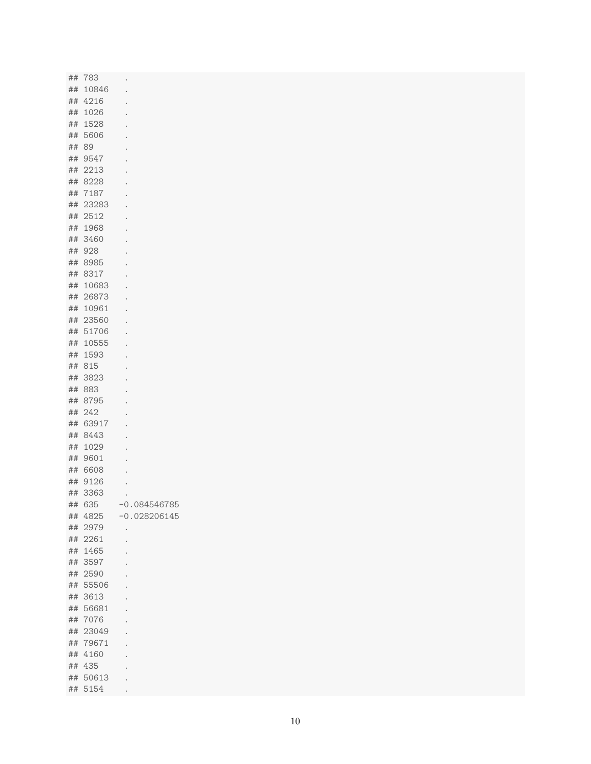|       | ## 783   | $\bullet$            |
|-------|----------|----------------------|
|       | ## 10846 | $\bullet$            |
|       | ## 4216  | $\bullet$            |
|       | ## 1026  |                      |
|       | ## 1528  | $\bullet$            |
|       | ## 5606  | $\bullet$            |
| ## 89 |          | $\bullet$            |
|       |          | $\bullet$            |
|       | ## 9547  | $\bullet$            |
|       | ## 2213  | $\bullet$            |
|       | ## 8228  | $\bullet$            |
|       | ## 7187  | $\bullet$            |
|       | ## 23283 | $\bullet$            |
|       | ## 2512  | $\bullet$            |
|       | ## 1968  | $\bullet$            |
|       | ## 3460  | $\bullet$            |
|       | ## 928   | $\bullet$            |
|       | ## 8985  | $\bullet$            |
|       | ## 8317  | $\ddot{\phantom{0}}$ |
|       | ## 10683 |                      |
|       | ## 26873 | $\ddot{\phantom{0}}$ |
|       | ## 10961 |                      |
|       | ## 23560 | $\ddot{\phantom{0}}$ |
|       | ## 51706 | $\ddot{\phantom{0}}$ |
|       |          | $\bullet$            |
|       | ## 10555 | $\bullet$            |
|       | ## 1593  | $\ddot{\phantom{0}}$ |
|       | ## 815   |                      |
|       | ## 3823  |                      |
|       | ## 883   |                      |
|       | ## 8795  |                      |
|       | ## 242   | $\ddot{\phantom{0}}$ |
|       | ## 63917 |                      |
|       | ## 8443  |                      |
|       | ## 1029  |                      |
|       | ## 9601  |                      |
|       | ## 6608  |                      |
|       | ## 9126  |                      |
|       | ## 3363  |                      |
|       | ## 635   | $-0.084546785$       |
|       |          |                      |
|       | ## 4825  | $-0.028206145$       |
|       | ## 2979  | $\bullet$            |
|       | ## 2261  | $\bullet$            |
|       | ## 1465  | $\bullet$            |
|       | ## 3597  | $\ddot{\phantom{0}}$ |
|       | ## 2590  | $\ddot{\phantom{a}}$ |
|       | ## 55506 | $\ddot{\phantom{a}}$ |
|       | ## 3613  | $\ddot{\phantom{0}}$ |
|       | ## 56681 | $\ddot{\phantom{a}}$ |
|       | ## 7076  | $\ddot{\phantom{0}}$ |
|       | ## 23049 | $\ddot{\phantom{0}}$ |
|       | ## 79671 | $\ddot{\phantom{a}}$ |
|       | ## 4160  |                      |
|       | ## 435   |                      |
|       | ## 50613 | $\bullet$            |
|       |          | $\ddot{\phantom{0}}$ |
|       | ## 5154  | $\bullet$            |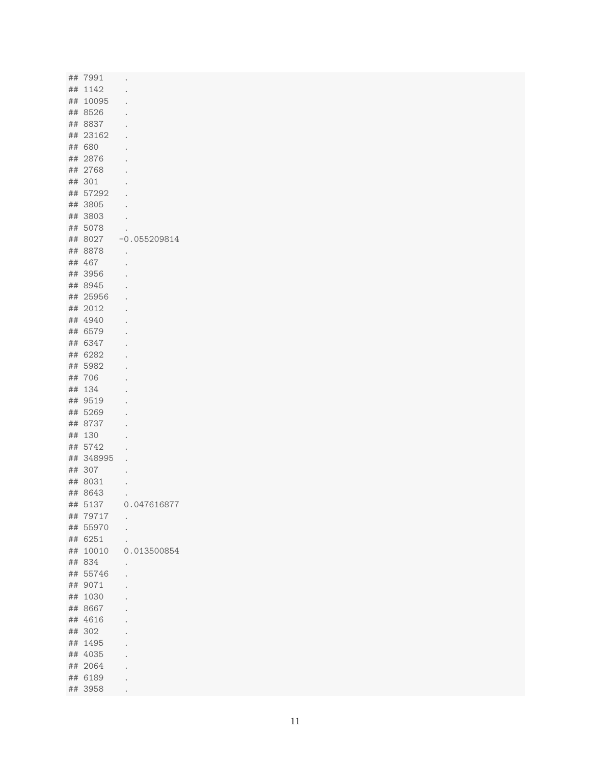| ## 1142<br>$\bullet$<br>## 10095<br>$\bullet$<br>## 8526<br>## 8837<br>$\bullet$<br>## 23162<br>$\bullet$<br>## 680<br>## 2876<br>$\bullet$<br>## 2768<br>$\bullet$<br>## 301<br>## 57292<br>$\bullet$<br>## 3805<br>$\ddot{\phantom{0}}$<br>## 3803<br>$\bullet$<br>## 5078<br>## 8027<br>## 8878<br>$\bullet$<br>## 467<br>## 3956<br>## 8945 |                                                                                                                                                                                                                 |
|-------------------------------------------------------------------------------------------------------------------------------------------------------------------------------------------------------------------------------------------------------------------------------------------------------------------------------------------------|-----------------------------------------------------------------------------------------------------------------------------------------------------------------------------------------------------------------|
|                                                                                                                                                                                                                                                                                                                                                 |                                                                                                                                                                                                                 |
|                                                                                                                                                                                                                                                                                                                                                 |                                                                                                                                                                                                                 |
|                                                                                                                                                                                                                                                                                                                                                 | $-0.055209814$                                                                                                                                                                                                  |
|                                                                                                                                                                                                                                                                                                                                                 |                                                                                                                                                                                                                 |
|                                                                                                                                                                                                                                                                                                                                                 |                                                                                                                                                                                                                 |
|                                                                                                                                                                                                                                                                                                                                                 |                                                                                                                                                                                                                 |
|                                                                                                                                                                                                                                                                                                                                                 |                                                                                                                                                                                                                 |
|                                                                                                                                                                                                                                                                                                                                                 |                                                                                                                                                                                                                 |
|                                                                                                                                                                                                                                                                                                                                                 |                                                                                                                                                                                                                 |
|                                                                                                                                                                                                                                                                                                                                                 |                                                                                                                                                                                                                 |
|                                                                                                                                                                                                                                                                                                                                                 |                                                                                                                                                                                                                 |
|                                                                                                                                                                                                                                                                                                                                                 |                                                                                                                                                                                                                 |
|                                                                                                                                                                                                                                                                                                                                                 |                                                                                                                                                                                                                 |
|                                                                                                                                                                                                                                                                                                                                                 |                                                                                                                                                                                                                 |
|                                                                                                                                                                                                                                                                                                                                                 |                                                                                                                                                                                                                 |
|                                                                                                                                                                                                                                                                                                                                                 |                                                                                                                                                                                                                 |
|                                                                                                                                                                                                                                                                                                                                                 |                                                                                                                                                                                                                 |
|                                                                                                                                                                                                                                                                                                                                                 |                                                                                                                                                                                                                 |
|                                                                                                                                                                                                                                                                                                                                                 |                                                                                                                                                                                                                 |
| ## 25956                                                                                                                                                                                                                                                                                                                                        |                                                                                                                                                                                                                 |
| ## 2012                                                                                                                                                                                                                                                                                                                                         |                                                                                                                                                                                                                 |
| ## 4940                                                                                                                                                                                                                                                                                                                                         |                                                                                                                                                                                                                 |
| ## 6579                                                                                                                                                                                                                                                                                                                                         |                                                                                                                                                                                                                 |
| ## 6347                                                                                                                                                                                                                                                                                                                                         |                                                                                                                                                                                                                 |
|                                                                                                                                                                                                                                                                                                                                                 |                                                                                                                                                                                                                 |
|                                                                                                                                                                                                                                                                                                                                                 |                                                                                                                                                                                                                 |
|                                                                                                                                                                                                                                                                                                                                                 |                                                                                                                                                                                                                 |
|                                                                                                                                                                                                                                                                                                                                                 |                                                                                                                                                                                                                 |
|                                                                                                                                                                                                                                                                                                                                                 |                                                                                                                                                                                                                 |
|                                                                                                                                                                                                                                                                                                                                                 |                                                                                                                                                                                                                 |
|                                                                                                                                                                                                                                                                                                                                                 |                                                                                                                                                                                                                 |
|                                                                                                                                                                                                                                                                                                                                                 |                                                                                                                                                                                                                 |
|                                                                                                                                                                                                                                                                                                                                                 |                                                                                                                                                                                                                 |
|                                                                                                                                                                                                                                                                                                                                                 |                                                                                                                                                                                                                 |
|                                                                                                                                                                                                                                                                                                                                                 |                                                                                                                                                                                                                 |
| $\ddot{\phantom{0}}$                                                                                                                                                                                                                                                                                                                            |                                                                                                                                                                                                                 |
| $\ddot{\phantom{0}}$                                                                                                                                                                                                                                                                                                                            |                                                                                                                                                                                                                 |
| $\bullet$                                                                                                                                                                                                                                                                                                                                       |                                                                                                                                                                                                                 |
|                                                                                                                                                                                                                                                                                                                                                 | 0.047616877                                                                                                                                                                                                     |
| $\bullet$                                                                                                                                                                                                                                                                                                                                       |                                                                                                                                                                                                                 |
|                                                                                                                                                                                                                                                                                                                                                 |                                                                                                                                                                                                                 |
|                                                                                                                                                                                                                                                                                                                                                 |                                                                                                                                                                                                                 |
| ## 10010                                                                                                                                                                                                                                                                                                                                        | 0.013500854                                                                                                                                                                                                     |
|                                                                                                                                                                                                                                                                                                                                                 |                                                                                                                                                                                                                 |
|                                                                                                                                                                                                                                                                                                                                                 |                                                                                                                                                                                                                 |
| ## 834<br>$\bullet$                                                                                                                                                                                                                                                                                                                             |                                                                                                                                                                                                                 |
| ## 55746<br>$\ddot{\phantom{0}}$                                                                                                                                                                                                                                                                                                                |                                                                                                                                                                                                                 |
| ## 9071                                                                                                                                                                                                                                                                                                                                         |                                                                                                                                                                                                                 |
| ## 1030                                                                                                                                                                                                                                                                                                                                         |                                                                                                                                                                                                                 |
| ## 8667                                                                                                                                                                                                                                                                                                                                         |                                                                                                                                                                                                                 |
| ## 4616                                                                                                                                                                                                                                                                                                                                         |                                                                                                                                                                                                                 |
| ## 302                                                                                                                                                                                                                                                                                                                                          |                                                                                                                                                                                                                 |
| ## 1495                                                                                                                                                                                                                                                                                                                                         |                                                                                                                                                                                                                 |
| ## 4035                                                                                                                                                                                                                                                                                                                                         |                                                                                                                                                                                                                 |
|                                                                                                                                                                                                                                                                                                                                                 |                                                                                                                                                                                                                 |
| ## 2064<br>## 6189                                                                                                                                                                                                                                                                                                                              |                                                                                                                                                                                                                 |
|                                                                                                                                                                                                                                                                                                                                                 | ## 6282<br>## 5982<br>## 706<br>## 134<br>## 9519<br>## 5269<br>## 8737<br>## 130<br>## 5742<br>## 348995<br>## 307<br>## 8031<br>## 8643<br>## 5137<br>## 79717<br>## 55970<br>$\ddot{\phantom{a}}$<br>## 6251 |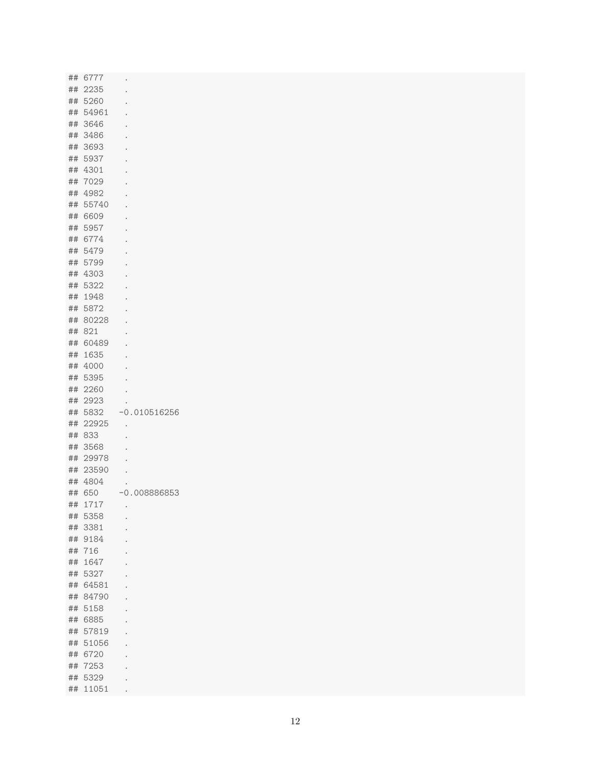| ## 6777  | $\bullet$            |
|----------|----------------------|
| ## 2235  | $\ddot{\phantom{0}}$ |
| ## 5260  | $\ddot{\phantom{0}}$ |
| ## 54961 | $\bullet$            |
| ## 3646  | $\ddot{\phantom{0}}$ |
| ## 3486  | $\ddot{\phantom{0}}$ |
| ## 3693  |                      |
| ## 5937  | $\ddot{\phantom{0}}$ |
| ## 4301  |                      |
| ## 7029  |                      |
| ## 4982  |                      |
| ## 55740 |                      |
| ## 6609  |                      |
|          |                      |
| ## 5957  |                      |
| ## 6774  |                      |
| ## 5479  |                      |
| ## 5799  |                      |
| ## 4303  |                      |
| ## 5322  |                      |
| ## 1948  |                      |
| ## 5872  |                      |
| ## 80228 |                      |
| ## 821   |                      |
| ## 60489 |                      |
| ## 1635  |                      |
| ## 4000  |                      |
| ## 5395  |                      |
| ## 2260  |                      |
| ## 2923  |                      |
| ## 5832  | $-0.010516256$       |
| ## 22925 | $\bullet$            |
| ## 833   |                      |
| ## 3568  |                      |
| ## 29978 | $\ddot{\phantom{0}}$ |
| ## 23590 | $\bullet$            |
| ## 4804  | $\bullet$            |
| ## 650   | $\ddot{\phantom{0}}$ |
|          | $-0.008886853$       |
| ## 1717  | $\bullet$            |
| ## 5358  | $\ddot{\phantom{0}}$ |
| ## 3381  |                      |
| ## 9184  |                      |
| ## 716   |                      |
| ## 1647  |                      |
| ## 5327  |                      |
| ## 64581 |                      |
| ## 84790 |                      |
| ## 5158  |                      |
| ## 6885  |                      |
| ## 57819 |                      |
| ## 51056 |                      |
| ## 6720  |                      |
| ## 7253  |                      |
| ## 5329  |                      |
| ## 11051 | $\bullet$            |
|          |                      |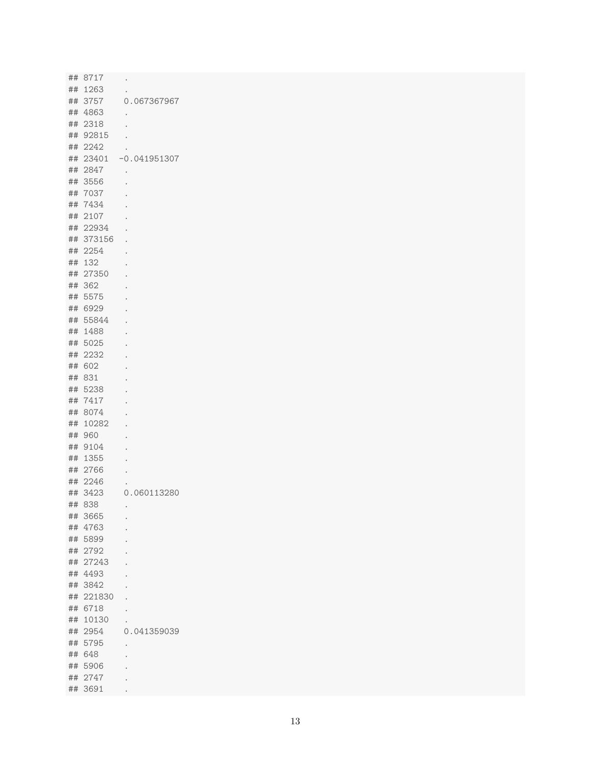|    | ## 8717          |                      |
|----|------------------|----------------------|
|    | ## 1263          | $\bullet$            |
| ## | 3757             | 0.067367967          |
|    |                  |                      |
|    | ## 4863          | $\ddot{\phantom{0}}$ |
| ## | 2318             |                      |
|    | ## 92815         |                      |
| ## | 2242             |                      |
| ## | 23401            | $-0.041951307$       |
| ## | 2847             |                      |
| ## | 3556             |                      |
| ## | 7037             |                      |
| ## | 7434             |                      |
| ## | 2107             |                      |
| ## | 22934            |                      |
| ## | 373156           |                      |
| ## | 2254             |                      |
| ## | 132              |                      |
| ## | 27350            |                      |
| ## | 362              |                      |
| ## | 5575             |                      |
|    | ## 6929          |                      |
| ## | 55844            |                      |
| ## | 1488             |                      |
| ## | 5025             |                      |
| ## | 2232             |                      |
| ## | 602              |                      |
| ## | 831              |                      |
| ## | 5238             |                      |
| ## | 7417             |                      |
| ## | 8074             |                      |
| ## | 10282            |                      |
| ## | 960              |                      |
| ## | 9104             |                      |
| ## | 1355             |                      |
| ## | 2766             |                      |
| ## | 2246             |                      |
| ## | 3423             | 0.060113280          |
|    | ## 838           |                      |
|    | ## 3665          |                      |
|    | ## 4763          |                      |
|    | ## 5899          |                      |
|    |                  |                      |
|    | ## 2792<br>27243 |                      |
| ## |                  |                      |
|    | ## 4493          |                      |
|    | ## 3842          |                      |
|    | ## 221830        |                      |
|    | ## 6718          |                      |
|    | ## 10130         |                      |
|    | ## 2954          | 0.041359039          |
|    | ## 5795          |                      |
|    | ## 648           |                      |
|    | ## 5906          |                      |
|    | ## 2747          |                      |
|    | ## 3691          |                      |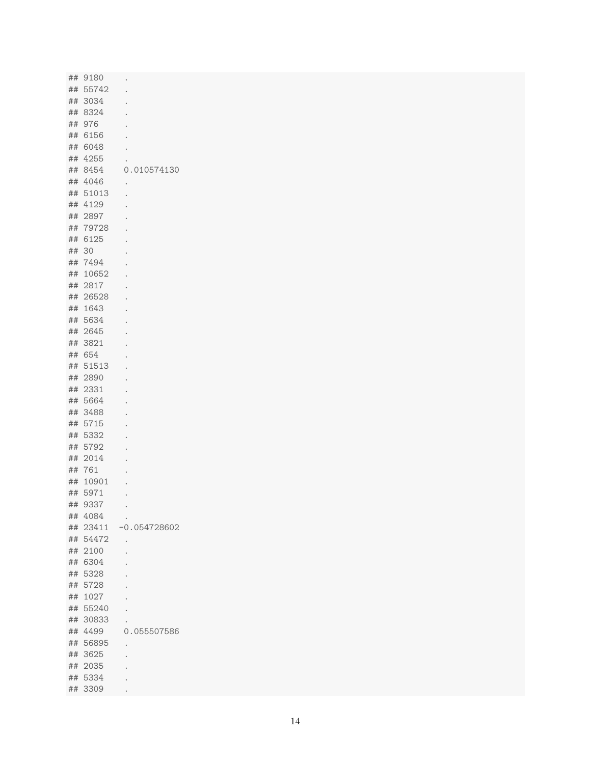| ## 9180  |                          |
|----------|--------------------------|
| ## 55742 | $\bullet$                |
| ## 3034  |                          |
| ## 8324  |                          |
| ## 976   |                          |
| ## 6156  |                          |
| ## 6048  |                          |
| ## 4255  |                          |
| ## 8454  | 0.010574130              |
| ## 4046  | $\ddot{\phantom{a}}$     |
| ## 51013 |                          |
| ## 4129  |                          |
| ## 2897  |                          |
| ## 79728 |                          |
| ## 6125  |                          |
| ## 30    |                          |
| ## 7494  |                          |
| ## 10652 |                          |
| ## 2817  |                          |
| ## 26528 |                          |
| ## 1643  |                          |
| ## 5634  |                          |
| ## 2645  |                          |
| ## 3821  |                          |
| ## 654   |                          |
| ## 51513 |                          |
| ## 2890  |                          |
| ## 2331  |                          |
| ## 5664  |                          |
| ## 3488  |                          |
| ## 5715  |                          |
| ## 5332  |                          |
| ## 5792  |                          |
| ## 2014  |                          |
| ## 761   |                          |
| ## 10901 |                          |
| ## 5971  |                          |
| ## 9337  | $\sim$ $\sim$            |
| ## 4084  | $\sim$                   |
|          | ## 23411 -0.054728602    |
| ## 54472 | $\sim$                   |
| ## 2100  | $\Box$                   |
| ## 6304  | $\ddot{\phantom{0}}$     |
| ## 5328  | $\bullet$                |
| ## 5728  | $\ddot{\phantom{a}}$     |
| ## 1027  | $\overline{\phantom{a}}$ |
| ## 55240 | $\bullet$                |
| ## 30833 |                          |
| ## 4499  | 0.055507586              |
| ## 56895 | $\bullet$                |
| ## 3625  | $\overline{\phantom{a}}$ |
| ## 2035  |                          |
| ## 5334  |                          |
| ## 3309  | $\bullet$                |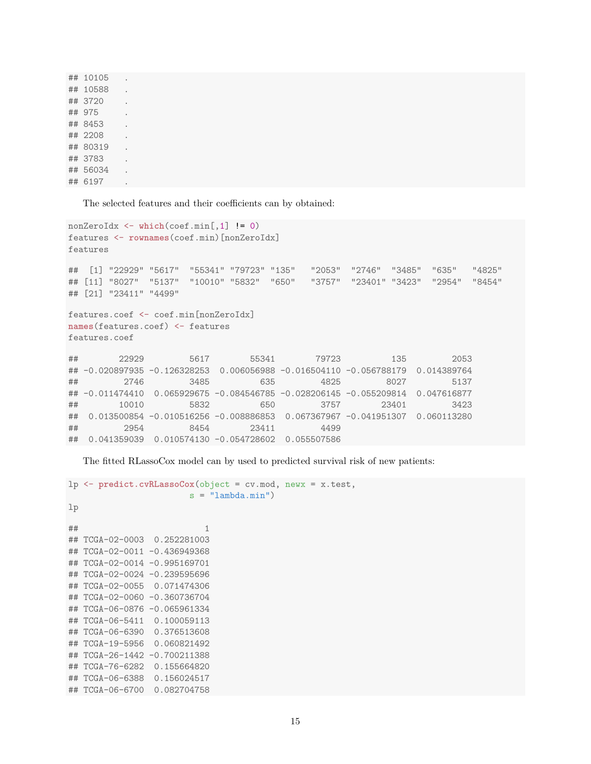| ## 10105 |                      |
|----------|----------------------|
| ## 10588 |                      |
| ## 3720  |                      |
| ## 975   |                      |
| ## 8453  |                      |
| ## 2208  |                      |
| ## 80319 |                      |
| ## 3783  | $\ddot{\phantom{0}}$ |
| ## 56034 |                      |
| ## 6197  |                      |

The selected features and their coefficients can by obtained:

```
nonZeroIdx <- which(coef.min[,1] != 0)
features <- rownames(coef.min)[nonZeroIdx]
features
## [1] "22929" "5617" "55341" "79723" "135" "2053" "2746" "3485" "635" "4825"
## [11] "8027" "5137" "10010" "5832" "650" "3757" "23401" "3423" "2954" "8454"
## [21] "23411" "4499"
features.coef <- coef.min[nonZeroIdx]
names(features.coef) <- features
features.coef
## 22929 5617 55341 79723 135 2053
## -0.020897935 -0.126328253 0.006056988 -0.016504110 -0.056788179 0.014389764
## 2746 3485 635 4825 8027 5137
## -0.011474410 0.065929675 -0.084546785 -0.028206145 -0.055209814 0.047616877
## 10010 5832 650 3757 23401 3423
## 0.013500854 -0.010516256 -0.008886853 0.067367967 -0.041951307 0.060113280
## 2954 8454 23411 4499
## 0.041359039 0.010574130 -0.054728602 0.055507586
```
The fitted RLassoCox model can by used to predicted survival risk of new patients:

```
lp <- predict.cvRLassoCox(object = cv.mod, newx = x.test,
                       s = "lambda.min")lp
\# \# 1
## TCGA-02-0003 0.252281003
## TCGA-02-0011 -0.436949368
## TCGA-02-0014 -0.995169701
## TCGA-02-0024 -0.239595696
## TCGA-02-0055 0.071474306
## TCGA-02-0060 -0.360736704
## TCGA-06-0876 -0.065961334
## TCGA-06-5411 0.100059113
## TCGA-06-6390 0.376513608
## TCGA-19-5956 0.060821492
## TCGA-26-1442 -0.700211388
## TCGA-76-6282 0.155664820
## TCGA-06-6388 0.156024517
## TCGA-06-6700 0.082704758
```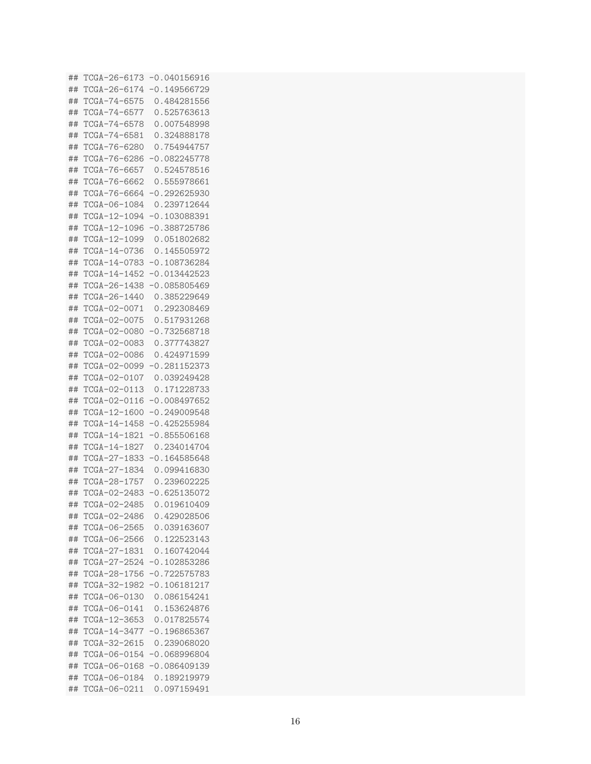## TCGA-26-6173 -0.040156916 ## TCGA-26-6174 -0.149566729 ## TCGA-74-6575 0.484281556 ## TCGA-74-6577 0.525763613 ## TCGA-74-6578 0.007548998 ## TCGA-74-6581 0.324888178 ## TCGA-76-6280 0.754944757 ## TCGA-76-6286 -0.082245778 ## TCGA-76-6657 0.524578516 ## TCGA-76-6662 0.555978661 ## TCGA-76-6664 -0.292625930 ## TCGA-06-1084 0.239712644 ## TCGA-12-1094 -0.103088391 ## TCGA-12-1096 -0.388725786 ## TCGA-12-1099 0.051802682 ## TCGA-14-0736 0.145505972 ## TCGA-14-0783 -0.108736284 ## TCGA-14-1452 -0.013442523 ## TCGA-26-1438 -0.085805469 ## TCGA-26-1440 0.385229649 ## TCGA-02-0071 0.292308469 ## TCGA-02-0075 0.517931268 ## TCGA-02-0080 -0.732568718 ## TCGA-02-0083 0.377743827 ## TCGA-02-0086 0.424971599 ## TCGA-02-0099 -0.281152373 ## TCGA-02-0107 0.039249428 ## TCGA-02-0113 0.171228733 ## TCGA-02-0116 -0.008497652 ## TCGA-12-1600 -0.249009548 ## TCGA-14-1458 -0.425255984 ## TCGA-14-1821 -0.855506168 ## TCGA-14-1827 0.234014704 ## TCGA-27-1833 -0.164585648 ## TCGA-27-1834 0.099416830 ## TCGA-28-1757 0.239602225 ## TCGA-02-2483 -0.625135072 ## TCGA-02-2485 0.019610409 ## TCGA-02-2486 0.429028506 ## TCGA-06-2565 0.039163607 ## TCGA-06-2566 0.122523143 ## TCGA-27-1831 0.160742044 ## TCGA-27-2524 -0.102853286 ## TCGA-28-1756 -0.722575783 ## TCGA-32-1982 -0.106181217 ## TCGA-06-0130 0.086154241 ## TCGA-06-0141 0.153624876 ## TCGA-12-3653 0.017825574 ## TCGA-14-3477 -0.196865367 ## TCGA-32-2615 0.239068020 ## TCGA-06-0154 -0.068996804 ## TCGA-06-0168 -0.086409139 ## TCGA-06-0184 0.189219979 ## TCGA-06-0211 0.097159491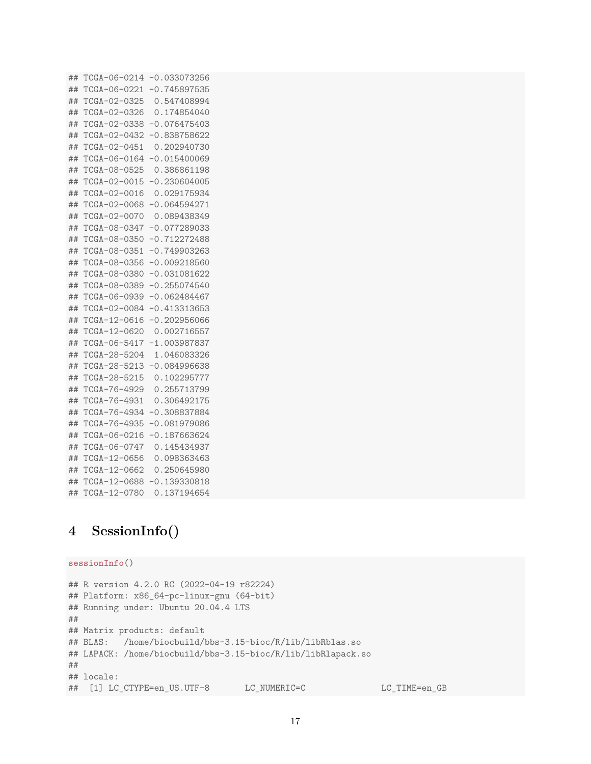## TCGA-06-0214 -0.033073256 ## TCGA-06-0221 -0.745897535 ## TCGA-02-0325 0.547408994 ## TCGA-02-0326 0.174854040 ## TCGA-02-0338 -0.076475403 ## TCGA-02-0432 -0.838758622 ## TCGA-02-0451 0.202940730 ## TCGA-06-0164 -0.015400069 ## TCGA-08-0525 0.386861198 ## TCGA-02-0015 -0.230604005 ## TCGA-02-0016 0.029175934 ## TCGA-02-0068 -0.064594271 ## TCGA-02-0070 0.089438349 ## TCGA-08-0347 -0.077289033 ## TCGA-08-0350 -0.712272488 ## TCGA-08-0351 -0.749903263 ## TCGA-08-0356 -0.009218560 ## TCGA-08-0380 -0.031081622 ## TCGA-08-0389 -0.255074540 ## TCGA-06-0939 -0.062484467 ## TCGA-02-0084 -0.413313653 ## TCGA-12-0616 -0.202956066 ## TCGA-12-0620 0.002716557 ## TCGA-06-5417 -1.003987837 ## TCGA-28-5204 1.046083326 ## TCGA-28-5213 -0.084996638 ## TCGA-28-5215 0.102295777 ## TCGA-76-4929 0.255713799 ## TCGA-76-4931 0.306492175 ## TCGA-76-4934 -0.308837884 ## TCGA-76-4935 -0.081979086 ## TCGA-06-0216 -0.187663624 ## TCGA-06-0747 0.145434937 ## TCGA-12-0656 0.098363463 ## TCGA-12-0662 0.250645980 ## TCGA-12-0688 -0.139330818 ## TCGA-12-0780 0.137194654

## **4 SessionInfo()**

```
sessionInfo()
## R version 4.2.0 RC (2022-04-19 r82224)
## Platform: x86 64-pc-linux-gnu (64-bit)
## Running under: Ubuntu 20.04.4 LTS
##
## Matrix products: default
## BLAS: /home/biocbuild/bbs-3.15-bioc/R/lib/libRblas.so
## LAPACK: /home/biocbuild/bbs-3.15-bioc/R/lib/libRlapack.so
##
## locale:
## [1] LC_CTYPE=en_US.UTF-8 LC_NUMERIC=C LC_TIME=en_GB
```